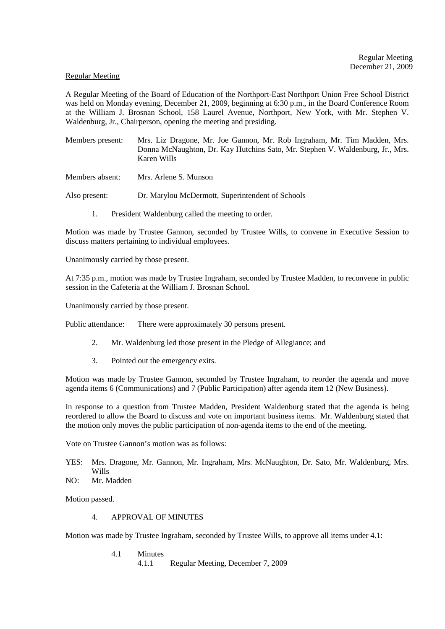#### Regular Meeting

A Regular Meeting of the Board of Education of the Northport-East Northport Union Free School District was held on Monday evening, December 21, 2009, beginning at 6:30 p.m., in the Board Conference Room at the William J. Brosnan School, 158 Laurel Avenue, Northport, New York, with Mr. Stephen V. Waldenburg, Jr., Chairperson, opening the meeting and presiding.

Members present: Mrs. Liz Dragone, Mr. Joe Gannon, Mr. Rob Ingraham, Mr. Tim Madden, Mrs. Donna McNaughton, Dr. Kay Hutchins Sato, Mr. Stephen V. Waldenburg, Jr., Mrs. Karen Wills

Members absent: Mrs. Arlene S. Munson

Also present: Dr. Marylou McDermott, Superintendent of Schools

1. President Waldenburg called the meeting to order.

Motion was made by Trustee Gannon, seconded by Trustee Wills, to convene in Executive Session to discuss matters pertaining to individual employees.

Unanimously carried by those present.

At 7:35 p.m., motion was made by Trustee Ingraham, seconded by Trustee Madden, to reconvene in public session in the Cafeteria at the William J. Brosnan School.

Unanimously carried by those present.

Public attendance: There were approximately 30 persons present.

- 2. Mr. Waldenburg led those present in the Pledge of Allegiance; and
- 3. Pointed out the emergency exits.

Motion was made by Trustee Gannon, seconded by Trustee Ingraham, to reorder the agenda and move agenda items 6 (Communications) and 7 (Public Participation) after agenda item 12 (New Business).

In response to a question from Trustee Madden, President Waldenburg stated that the agenda is being reordered to allow the Board to discuss and vote on important business items. Mr. Waldenburg stated that the motion only moves the public participation of non-agenda items to the end of the meeting.

Vote on Trustee Gannon's motion was as follows:

- YES: Mrs. Dragone, Mr. Gannon, Mr. Ingraham, Mrs. McNaughton, Dr. Sato, Mr. Waldenburg, Mrs. Wills
- NO: Mr. Madden

Motion passed.

4. APPROVAL OF MINUTES

Motion was made by Trustee Ingraham, seconded by Trustee Wills, to approve all items under 4.1:

4.1 Minutes<br>4.1.1 4.1.1 Regular Meeting, December 7, 2009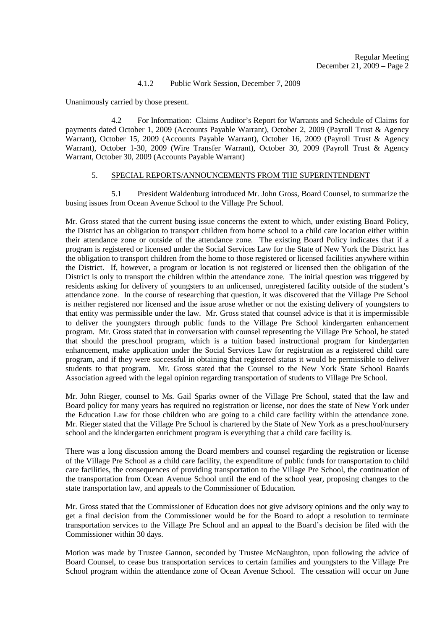## 4.1.2 Public Work Session, December 7, 2009

Unanimously carried by those present.

 4.2 For Information: Claims Auditor's Report for Warrants and Schedule of Claims for payments dated October 1, 2009 (Accounts Payable Warrant), October 2, 2009 (Payroll Trust & Agency Warrant), October 15, 2009 (Accounts Payable Warrant), October 16, 2009 (Payroll Trust & Agency Warrant), October 1-30, 2009 (Wire Transfer Warrant), October 30, 2009 (Payroll Trust & Agency Warrant, October 30, 2009 (Accounts Payable Warrant)

# 5. SPECIAL REPORTS/ANNOUNCEMENTS FROM THE SUPERINTENDENT

5.1 President Waldenburg introduced Mr. John Gross, Board Counsel, to summarize the busing issues from Ocean Avenue School to the Village Pre School.

Mr. Gross stated that the current busing issue concerns the extent to which, under existing Board Policy, the District has an obligation to transport children from home school to a child care location either within their attendance zone or outside of the attendance zone. The existing Board Policy indicates that if a program is registered or licensed under the Social Services Law for the State of New York the District has the obligation to transport children from the home to those registered or licensed facilities anywhere within the District. If, however, a program or location is not registered or licensed then the obligation of the District is only to transport the children within the attendance zone. The initial question was triggered by residents asking for delivery of youngsters to an unlicensed, unregistered facility outside of the student's attendance zone. In the course of researching that question, it was discovered that the Village Pre School is neither registered nor licensed and the issue arose whether or not the existing delivery of youngsters to that entity was permissible under the law. Mr. Gross stated that counsel advice is that it is impermissible to deliver the youngsters through public funds to the Village Pre School kindergarten enhancement program. Mr. Gross stated that in conversation with counsel representing the Village Pre School, he stated that should the preschool program, which is a tuition based instructional program for kindergarten enhancement, make application under the Social Services Law for registration as a registered child care program, and if they were successful in obtaining that registered status it would be permissible to deliver students to that program. Mr. Gross stated that the Counsel to the New York State School Boards Association agreed with the legal opinion regarding transportation of students to Village Pre School.

Mr. John Rieger, counsel to Ms. Gail Sparks owner of the Village Pre School, stated that the law and Board policy for many years has required no registration or license, nor does the state of New York under the Education Law for those children who are going to a child care facility within the attendance zone. Mr. Rieger stated that the Village Pre School is chartered by the State of New York as a preschool/nursery school and the kindergarten enrichment program is everything that a child care facility is.

There was a long discussion among the Board members and counsel regarding the registration or license of the Village Pre School as a child care facility, the expenditure of public funds for transportation to child care facilities, the consequences of providing transportation to the Village Pre School, the continuation of the transportation from Ocean Avenue School until the end of the school year, proposing changes to the state transportation law, and appeals to the Commissioner of Education.

Mr. Gross stated that the Commissioner of Education does not give advisory opinions and the only way to get a final decision from the Commissioner would be for the Board to adopt a resolution to terminate transportation services to the Village Pre School and an appeal to the Board's decision be filed with the Commissioner within 30 days.

Motion was made by Trustee Gannon, seconded by Trustee McNaughton, upon following the advice of Board Counsel, to cease bus transportation services to certain families and youngsters to the Village Pre School program within the attendance zone of Ocean Avenue School. The cessation will occur on June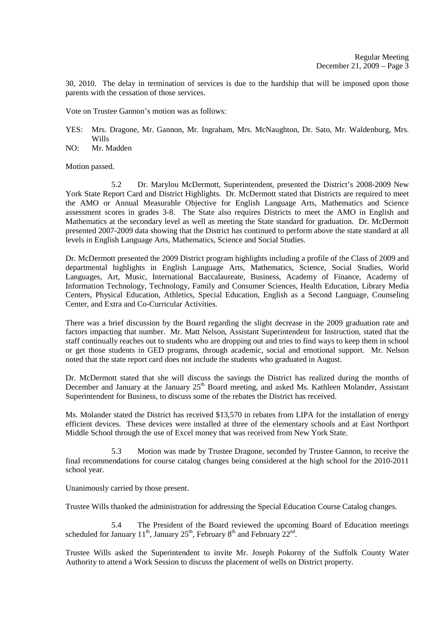30, 2010. The delay in termination of services is due to the hardship that will be imposed upon those parents with the cessation of those services.

Vote on Trustee Gannon's motion was as follows:

- YES: Mrs. Dragone, Mr. Gannon, Mr. Ingraham, Mrs. McNaughton, Dr. Sato, Mr. Waldenburg, Mrs. Wills
- NO: Mr. Madden

Motion passed.

 5.2 Dr. Marylou McDermott, Superintendent, presented the District's 2008-2009 New York State Report Card and District Highlights. Dr. McDermott stated that Districts are required to meet the AMO or Annual Measurable Objective for English Language Arts, Mathematics and Science assessment scores in grades 3-8. The State also requires Districts to meet the AMO in English and Mathematics at the secondary level as well as meeting the State standard for graduation. Dr. McDermott presented 2007-2009 data showing that the District has continued to perform above the state standard at all levels in English Language Arts, Mathematics, Science and Social Studies.

Dr. McDermott presented the 2009 District program highlights including a profile of the Class of 2009 and departmental highlights in English Language Arts, Mathematics, Science, Social Studies, World Languages, Art, Music, International Baccalaureate, Business, Academy of Finance, Academy of Information Technology, Technology, Family and Consumer Sciences, Health Education, Library Media Centers, Physical Education, Athletics, Special Education, English as a Second Language, Counseling Center, and Extra and Co-Curricular Activities.

There was a brief discussion by the Board regarding the slight decrease in the 2009 graduation rate and factors impacting that number. Mr. Matt Nelson, Assistant Superintendent for Instruction, stated that the staff continually reaches out to students who are dropping out and tries to find ways to keep them in school or get those students in GED programs, through academic, social and emotional support. Mr. Nelson noted that the state report card does not include the students who graduated in August.

Dr. McDermott stated that she will discuss the savings the District has realized during the months of December and January at the January 25<sup>th</sup> Board meeting, and asked Ms. Kathleen Molander, Assistant Superintendent for Business, to discuss some of the rebates the District has received.

Ms. Molander stated the District has received \$13,570 in rebates from LIPA for the installation of energy efficient devices. These devices were installed at three of the elementary schools and at East Northport Middle School through the use of Excel money that was received from New York State.

 5.3 Motion was made by Trustee Dragone, seconded by Trustee Gannon, to receive the final recommendations for course catalog changes being considered at the high school for the 2010-2011 school year.

Unanimously carried by those present.

Trustee Wills thanked the administration for addressing the Special Education Course Catalog changes.

 5.4 The President of the Board reviewed the upcoming Board of Education meetings scheduled for January  $11^{th}$ , January  $25^{th}$ , February  $8^{th}$  and February  $22^{nd}$ .

Trustee Wills asked the Superintendent to invite Mr. Joseph Pokorny of the Suffolk County Water Authority to attend a Work Session to discuss the placement of wells on District property.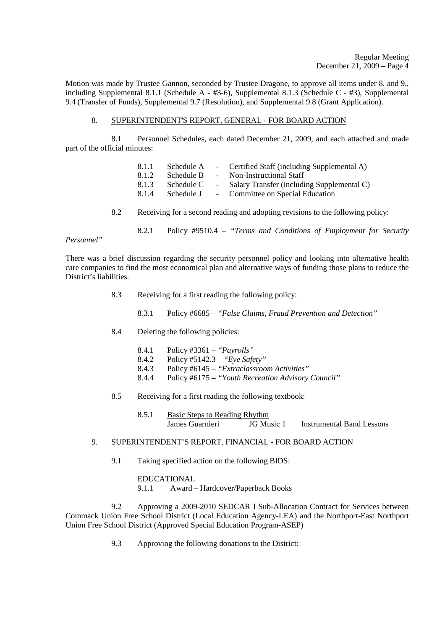Motion was made by Trustee Gannon, seconded by Trustee Dragone, to approve all items under 8. and 9., including Supplemental 8.1.1 (Schedule A - #3-6), Supplemental 8.1.3 (Schedule C - #3), Supplemental 9.4 (Transfer of Funds), Supplemental 9.7 (Resolution), and Supplemental 9.8 (Grant Application).

## 8. SUPERINTENDENT'S REPORT, GENERAL - FOR BOARD ACTION

 8.1 Personnel Schedules, each dated December 21, 2009, and each attached and made part of the official minutes:

| 8.1.1                                                                                                                          | Schedule A |  | - Certified Staff (including Supplemental A) |  |  |
|--------------------------------------------------------------------------------------------------------------------------------|------------|--|----------------------------------------------|--|--|
| 8.1.2                                                                                                                          | Schedule B |  | Non-Instructional Staff                      |  |  |
| 8.1.3                                                                                                                          | Schedule C |  | Salary Transfer (including Supplemental C)   |  |  |
| 8.1.4                                                                                                                          | Schedule J |  | - Committee on Special Education             |  |  |
|                                                                                                                                |            |  |                                              |  |  |
| $\mathbf{r}$ , and $\mathbf{r}$ , and $\mathbf{r}$ , and $\mathbf{r}$ , and $\mathbf{r}$ , and $\mathbf{r}$ , and $\mathbf{r}$ |            |  |                                              |  |  |

- 8.2 Receiving for a second reading and adopting revisions to the following policy:
	- 8.2.1 Policy #9510.4 *"Terms and Conditions of Employment for Security*

*Personnel"* 

There was a brief discussion regarding the security personnel policy and looking into alternative health care companies to find the most economical plan and alternative ways of funding those plans to reduce the District's liabilities.

- 8.3 Receiving for a first reading the following policy:
	- 8.3.1 Policy #6685 *"False Claims, Fraud Prevention and Detection"*
- 8.4 Deleting the following policies:
	- 8.4.1 Policy #3361 *"Payrolls"*
	- 8.4.2 Policy #5142.3 *"Eye Safety"*
	- 8.4.3 Policy #6145 *"Extraclassroom Activities"*
	- 8.4.4 Policy #6175 *"Youth Recreation Advisory Council"*
- 8.5 Receiving for a first reading the following textbook:
	- 8.5.1 Basic Steps to Reading Rhythm James Guarnieri JG Music 1 Instrumental Band Lessons

## 9. SUPERINTENDENT'S REPORT, FINANCIAL - FOR BOARD ACTION

9.1 Taking specified action on the following BIDS:

EDUCATIONAL

9.1.1 Award – Hardcover/Paperback Books

 9.2 Approving a 2009-2010 SEDCAR I Sub-Allocation Contract for Services between Commack Union Free School District (Local Education Agency-LEA) and the Northport-East Northport Union Free School District (Approved Special Education Program-ASEP)

9.3 Approving the following donations to the District: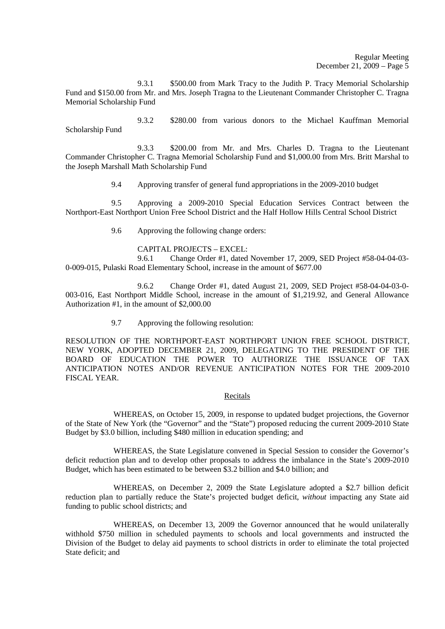9.3.1 \$500.00 from Mark Tracy to the Judith P. Tracy Memorial Scholarship Fund and \$150.00 from Mr. and Mrs. Joseph Tragna to the Lieutenant Commander Christopher C. Tragna Memorial Scholarship Fund

 9.3.2 \$280.00 from various donors to the Michael Kauffman Memorial Scholarship Fund

 9.3.3 \$200.00 from Mr. and Mrs. Charles D. Tragna to the Lieutenant Commander Christopher C. Tragna Memorial Scholarship Fund and \$1,000.00 from Mrs. Britt Marshal to the Joseph Marshall Math Scholarship Fund

9.4 Approving transfer of general fund appropriations in the 2009-2010 budget

 9.5 Approving a 2009-2010 Special Education Services Contract between the Northport-East Northport Union Free School District and the Half Hollow Hills Central School District

9.6 Approving the following change orders:

## CAPITAL PROJECTS – EXCEL:

 9.6.1 Change Order #1, dated November 17, 2009, SED Project #58-04-04-03- 0-009-015, Pulaski Road Elementary School, increase in the amount of \$677.00

 9.6.2 Change Order #1, dated August 21, 2009, SED Project #58-04-04-03-0- 003-016, East Northport Middle School, increase in the amount of \$1,219.92, and General Allowance Authorization #1, in the amount of \$2,000.00

9.7 Approving the following resolution:

RESOLUTION OF THE NORTHPORT-EAST NORTHPORT UNION FREE SCHOOL DISTRICT, NEW YORK, ADOPTED DECEMBER 21, 2009, DELEGATING TO THE PRESIDENT OF THE BOARD OF EDUCATION THE POWER TO AUTHORIZE THE ISSUANCE OF TAX ANTICIPATION NOTES AND/OR REVENUE ANTICIPATION NOTES FOR THE 2009-2010 FISCAL YEAR.

#### Recitals

WHEREAS, on October 15, 2009, in response to updated budget projections, the Governor of the State of New York (the "Governor" and the "State") proposed reducing the current 2009-2010 State Budget by \$3.0 billion, including \$480 million in education spending; and

WHEREAS, the State Legislature convened in Special Session to consider the Governor's deficit reduction plan and to develop other proposals to address the imbalance in the State's 2009-2010 Budget, which has been estimated to be between \$3.2 billion and \$4.0 billion; and

WHEREAS, on December 2, 2009 the State Legislature adopted a \$2.7 billion deficit reduction plan to partially reduce the State's projected budget deficit, *without* impacting any State aid funding to public school districts; and

WHEREAS, on December 13, 2009 the Governor announced that he would unilaterally withhold \$750 million in scheduled payments to schools and local governments and instructed the Division of the Budget to delay aid payments to school districts in order to eliminate the total projected State deficit; and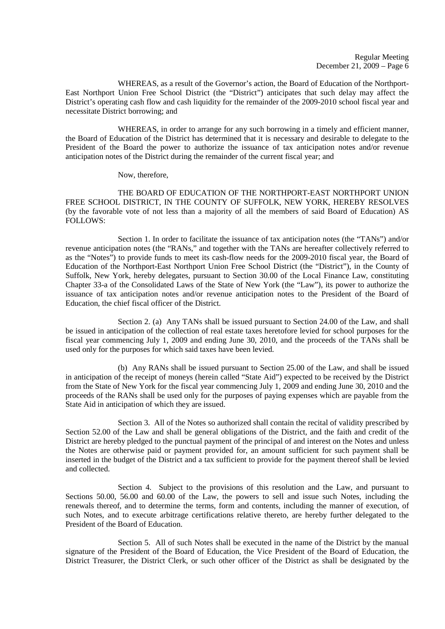Regular Meeting December 21, 2009 – Page 6

WHEREAS, as a result of the Governor's action, the Board of Education of the Northport-East Northport Union Free School District (the "District") anticipates that such delay may affect the District's operating cash flow and cash liquidity for the remainder of the 2009-2010 school fiscal year and necessitate District borrowing; and

WHEREAS, in order to arrange for any such borrowing in a timely and efficient manner. the Board of Education of the District has determined that it is necessary and desirable to delegate to the President of the Board the power to authorize the issuance of tax anticipation notes and/or revenue anticipation notes of the District during the remainder of the current fiscal year; and

Now, therefore,

THE BOARD OF EDUCATION OF THE NORTHPORT-EAST NORTHPORT UNION FREE SCHOOL DISTRICT, IN THE COUNTY OF SUFFOLK, NEW YORK, HEREBY RESOLVES (by the favorable vote of not less than a majority of all the members of said Board of Education) AS FOLLOWS:

Section 1. In order to facilitate the issuance of tax anticipation notes (the "TANs") and/or revenue anticipation notes (the "RANs," and together with the TANs are hereafter collectively referred to as the "Notes") to provide funds to meet its cash-flow needs for the 2009-2010 fiscal year, the Board of Education of the Northport-East Northport Union Free School District (the "District"), in the County of Suffolk, New York, hereby delegates, pursuant to Section 30.00 of the Local Finance Law, constituting Chapter 33-a of the Consolidated Laws of the State of New York (the "Law"), its power to authorize the issuance of tax anticipation notes and/or revenue anticipation notes to the President of the Board of Education, the chief fiscal officer of the District.

Section 2. (a) Any TANs shall be issued pursuant to Section 24.00 of the Law, and shall be issued in anticipation of the collection of real estate taxes heretofore levied for school purposes for the fiscal year commencing July 1, 2009 and ending June 30, 2010, and the proceeds of the TANs shall be used only for the purposes for which said taxes have been levied.

(b) Any RANs shall be issued pursuant to Section 25.00 of the Law, and shall be issued in anticipation of the receipt of moneys (herein called "State Aid") expected to be received by the District from the State of New York for the fiscal year commencing July 1, 2009 and ending June 30, 2010 and the proceeds of the RANs shall be used only for the purposes of paying expenses which are payable from the State Aid in anticipation of which they are issued.

Section 3. All of the Notes so authorized shall contain the recital of validity prescribed by Section 52.00 of the Law and shall be general obligations of the District, and the faith and credit of the District are hereby pledged to the punctual payment of the principal of and interest on the Notes and unless the Notes are otherwise paid or payment provided for, an amount sufficient for such payment shall be inserted in the budget of the District and a tax sufficient to provide for the payment thereof shall be levied and collected.

Section 4. Subject to the provisions of this resolution and the Law, and pursuant to Sections 50.00, 56.00 and 60.00 of the Law, the powers to sell and issue such Notes, including the renewals thereof, and to determine the terms, form and contents, including the manner of execution, of such Notes, and to execute arbitrage certifications relative thereto, are hereby further delegated to the President of the Board of Education.

Section 5. All of such Notes shall be executed in the name of the District by the manual signature of the President of the Board of Education, the Vice President of the Board of Education, the District Treasurer, the District Clerk, or such other officer of the District as shall be designated by the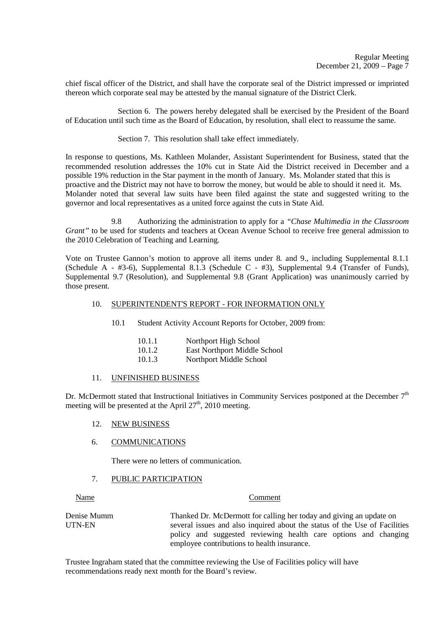chief fiscal officer of the District, and shall have the corporate seal of the District impressed or imprinted thereon which corporate seal may be attested by the manual signature of the District Clerk.

Section 6. The powers hereby delegated shall be exercised by the President of the Board of Education until such time as the Board of Education, by resolution, shall elect to reassume the same.

Section 7. This resolution shall take effect immediately.

In response to questions, Ms. Kathleen Molander, Assistant Superintendent for Business, stated that the recommended resolution addresses the 10% cut in State Aid the District received in December and a possible 19% reduction in the Star payment in the month of January. Ms. Molander stated that this is proactive and the District may not have to borrow the money, but would be able to should it need it. Ms. Molander noted that several law suits have been filed against the state and suggested writing to the governor and local representatives as a united force against the cuts in State Aid.

 9.8 Authorizing the administration to apply for a *"Chase Multimedia in the Classroom Grant*" to be used for students and teachers at Ocean Avenue School to receive free general admission to the 2010 Celebration of Teaching and Learning.

Vote on Trustee Gannon's motion to approve all items under 8. and 9., including Supplemental 8.1.1 (Schedule A - #3-6), Supplemental 8.1.3 (Schedule C - #3), Supplemental 9.4 (Transfer of Funds), Supplemental 9.7 (Resolution), and Supplemental 9.8 (Grant Application) was unanimously carried by those present.

## 10. SUPERINTENDENT'S REPORT - FOR INFORMATION ONLY

10.1 Student Activity Account Reports for October, 2009 from:

| Northport High School<br>10.1.1 |  |
|---------------------------------|--|
|---------------------------------|--|

10.1.3 Northport Middle School

#### 11. UNFINISHED BUSINESS

Dr. McDermott stated that Instructional Initiatives in Community Services postponed at the December  $7<sup>th</sup>$ meeting will be presented at the April  $27<sup>th</sup>$ , 2010 meeting.

## 12. NEW BUSINESS

#### 6. COMMUNICATIONS

There were no letters of communication.

## 7. PUBLIC PARTICIPATION

#### Name Comment

Denise Mumm Thanked Dr. McDermott for calling her today and giving an update on UTN-EN several issues and also inquired about the status of the Use of Facilities policy and suggested reviewing health care options and changing employee contributions to health insurance.

Trustee Ingraham stated that the committee reviewing the Use of Facilities policy will have recommendations ready next month for the Board's review.